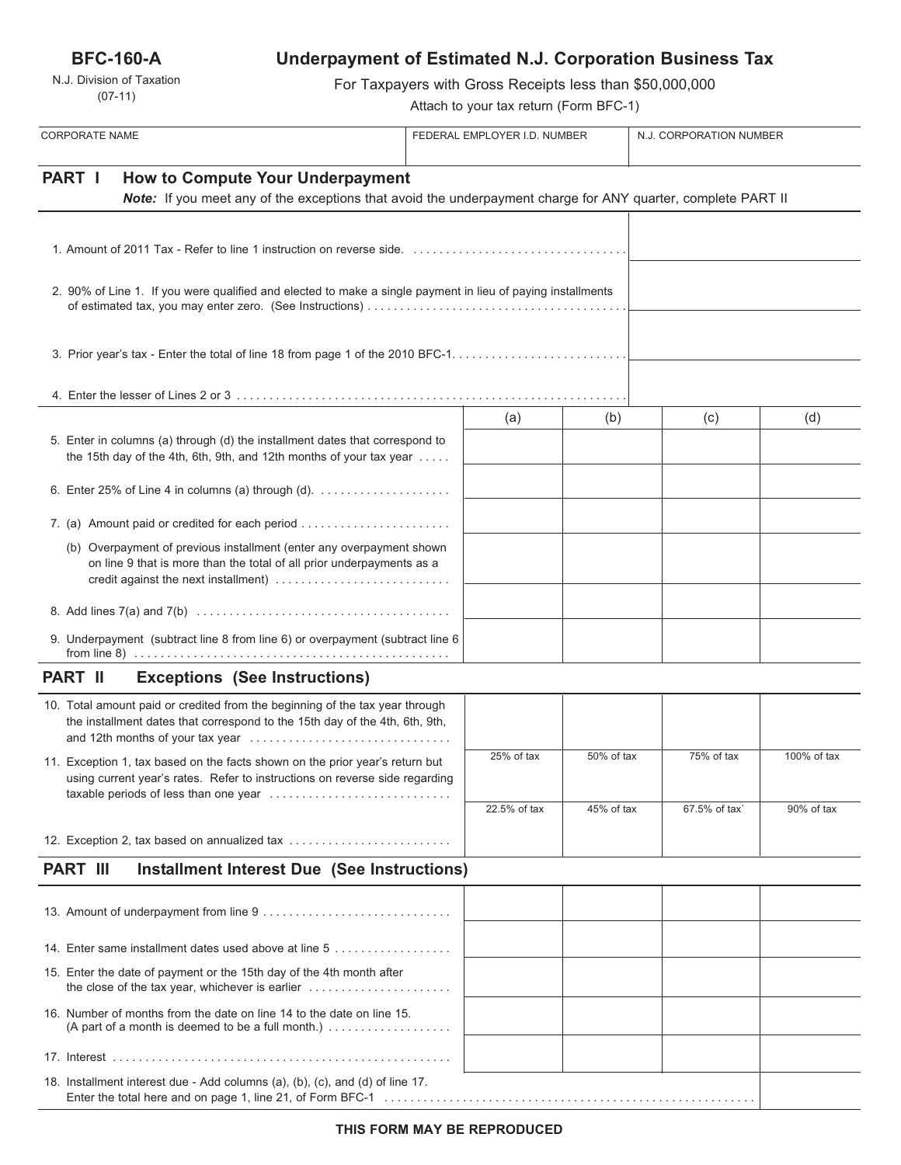**BFC-160-A**

N.J. Division of Taxation (07-11)

# **Underpayment of Estimated N.J. Corporation Business Tax**

For Taxpayers with Gross Receipts less than \$50,000,000

Attach to your tax return (Form BFC-1)

| <b>CORPORATE NAME</b>                                                                                        |                                                                                                                                                             |                                                                                                                                                                                       | FEDERAL EMPLOYER I.D. NUMBER |              | N.J. CORPORATION NUMBER |               |             |
|--------------------------------------------------------------------------------------------------------------|-------------------------------------------------------------------------------------------------------------------------------------------------------------|---------------------------------------------------------------------------------------------------------------------------------------------------------------------------------------|------------------------------|--------------|-------------------------|---------------|-------------|
| PART I<br><b>How to Compute Your Underpayment</b>                                                            |                                                                                                                                                             |                                                                                                                                                                                       |                              |              |                         |               |             |
| Note: If you meet any of the exceptions that avoid the underpayment charge for ANY quarter, complete PART II |                                                                                                                                                             |                                                                                                                                                                                       |                              |              |                         |               |             |
|                                                                                                              |                                                                                                                                                             |                                                                                                                                                                                       |                              |              |                         |               |             |
|                                                                                                              |                                                                                                                                                             | 2. 90% of Line 1. If you were qualified and elected to make a single payment in lieu of paying installments                                                                           |                              |              |                         |               |             |
|                                                                                                              |                                                                                                                                                             |                                                                                                                                                                                       |                              |              |                         |               |             |
|                                                                                                              |                                                                                                                                                             |                                                                                                                                                                                       |                              |              |                         |               |             |
|                                                                                                              |                                                                                                                                                             |                                                                                                                                                                                       |                              | (a)          | (b)                     | (c)           | (d)         |
|                                                                                                              | 5. Enter in columns (a) through (d) the installment dates that correspond to<br>the 15th day of the 4th, 6th, 9th, and 12th months of your tax year         |                                                                                                                                                                                       |                              |              |                         |               |             |
|                                                                                                              | 6. Enter 25% of Line 4 in columns (a) through (d). $\ldots$                                                                                                 |                                                                                                                                                                                       |                              |              |                         |               |             |
|                                                                                                              |                                                                                                                                                             | 7. (a) Amount paid or credited for each period                                                                                                                                        |                              |              |                         |               |             |
|                                                                                                              |                                                                                                                                                             | (b) Overpayment of previous installment (enter any overpayment shown<br>on line 9 that is more than the total of all prior underpayments as a<br>credit against the next installment) |                              |              |                         |               |             |
|                                                                                                              |                                                                                                                                                             |                                                                                                                                                                                       |                              |              |                         |               |             |
|                                                                                                              |                                                                                                                                                             | 9. Underpayment (subtract line 8 from line 6) or overpayment (subtract line 6                                                                                                         |                              |              |                         |               |             |
|                                                                                                              | <b>PART II</b>                                                                                                                                              | <b>Exceptions (See Instructions)</b>                                                                                                                                                  |                              |              |                         |               |             |
|                                                                                                              |                                                                                                                                                             | 10. Total amount paid or credited from the beginning of the tax year through<br>the installment dates that correspond to the 15th day of the 4th, 6th, 9th,                           |                              |              |                         |               |             |
|                                                                                                              | 11. Exception 1, tax based on the facts shown on the prior year's return but<br>using current year's rates. Refer to instructions on reverse side regarding |                                                                                                                                                                                       |                              | 25% of tax   | 50% of tax              | 75% of tax    | 100% of tax |
|                                                                                                              |                                                                                                                                                             | taxable periods of less than one year                                                                                                                                                 |                              | 22.5% of tax | 45% of tax              | 67.5% of tax` | 90% of tax  |
|                                                                                                              |                                                                                                                                                             | 12. Exception 2, tax based on annualized tax                                                                                                                                          |                              |              |                         |               |             |
|                                                                                                              | <b>PART III</b>                                                                                                                                             | <b>Installment Interest Due (See Instructions)</b>                                                                                                                                    |                              |              |                         |               |             |
|                                                                                                              |                                                                                                                                                             |                                                                                                                                                                                       |                              |              |                         |               |             |
|                                                                                                              |                                                                                                                                                             |                                                                                                                                                                                       |                              |              |                         |               |             |
|                                                                                                              |                                                                                                                                                             | 14. Enter same installment dates used above at line 5                                                                                                                                 |                              |              |                         |               |             |
|                                                                                                              |                                                                                                                                                             | 15. Enter the date of payment or the 15th day of the 4th month after                                                                                                                  |                              |              |                         |               |             |
|                                                                                                              |                                                                                                                                                             | 16. Number of months from the date on line 14 to the date on line 15.<br>(A part of a month is deemed to be a full month.) $\ldots$                                                   |                              |              |                         |               |             |
|                                                                                                              |                                                                                                                                                             |                                                                                                                                                                                       |                              |              |                         |               |             |
|                                                                                                              |                                                                                                                                                             | 18. Installment interest due - Add columns (a), (b), (c), and (d) of line 17.                                                                                                         |                              |              |                         |               |             |

Enter the total here and on page 1, line 21, of Form BFC-1 . . . . . . . . . . . . . . . . . . . . . . . . . . . . . . . . . . . . . . . . . . . . . . . . . . . . . . . . .